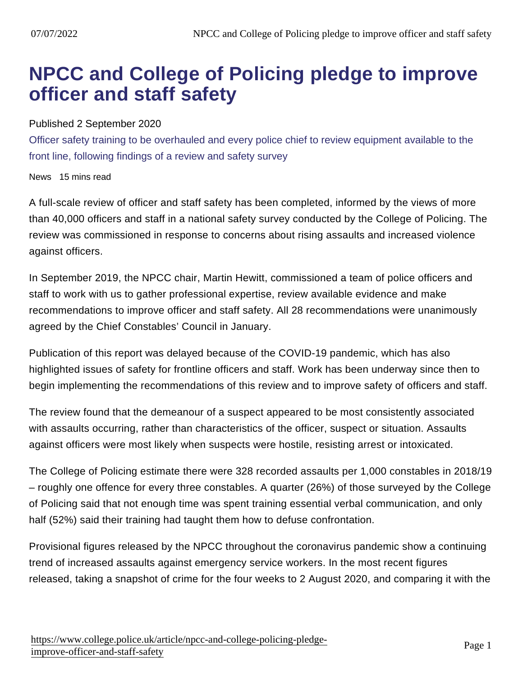## NPCC and College of Policing pledge to improve officer and staff safety

#### Published 2 September 2020

Officer safety training to be overhauled and every police chief to review equipment available to the front line, following findings of a review and safety survey

News 15 mins read

A full-scale review of officer and staff safety has been completed, informed by the views of more than 40,000 officers and staff in a national safety survey conducted by the College of Policing. The review was commissioned in response to concerns about rising assaults and increased violence against officers.

In September 2019, the NPCC chair, Martin Hewitt, commissioned a team of police officers and staff to work with us to gather professional expertise, review available evidence and make recommendations to improve officer and staff safety. All 28 recommendations were unanimously agreed by the Chief Constables' Council in January.

Publication of this report was delayed because of the COVID-19 pandemic, which has also highlighted issues of safety for frontline officers and staff. Work has been underway since then to begin implementing the recommendations of this review and to improve safety of officers and staff.

The review found that the demeanour of a suspect appeared to be most consistently associated with assaults occurring, rather than characteristics of the officer, suspect or situation. Assaults against officers were most likely when suspects were hostile, resisting arrest or intoxicated.

The College of Policing estimate there were 328 recorded assaults per 1,000 constables in 2018/19 – roughly one offence for every three constables. A quarter (26%) of those surveyed by the College of Policing said that not enough time was spent training essential verbal communication, and only half (52%) said their training had taught them how to defuse confrontation.

Provisional figures released by the NPCC throughout the coronavirus pandemic show a continuing trend of increased assaults against emergency service workers. In the most recent figures released, taking a snapshot of crime for the four weeks to 2 August 2020, and comparing it with the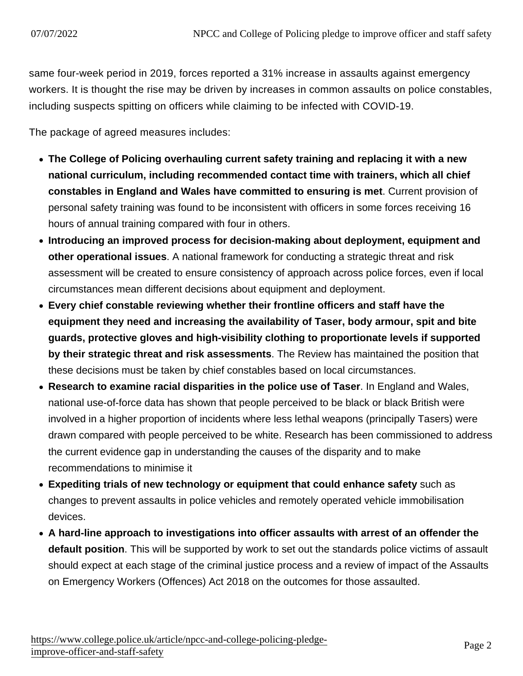same four-week period in 2019, forces reported a 31% increase in assaults against emergency workers. It is thought the rise may be driven by increases in common assaults on police constables, including suspects spitting on officers while claiming to be infected with COVID-19.

The package of agreed measures includes:

- The College of Policing overhauling current safety training and replacing it with a new national curriculum, including recommended contact time with trainers, which all chief constables in England and Wales have committed to ensuring is met . Current provision of personal safety training was found to be inconsistent with officers in some forces receiving 16 hours of annual training compared with four in others.
- Introducing an improved process for decision-making about deployment, equipment and other operational issues . A national framework for conducting a strategic threat and risk assessment will be created to ensure consistency of approach across police forces, even if local circumstances mean different decisions about equipment and deployment.
- Every chief constable reviewing whether their frontline officers and staff have the equipment they need and increasing the availability of Taser, body armour, spit and bite guards, protective gloves and high-visibility clothing to proportionate levels if supported by their strategic threat and risk assessments . The Review has maintained the position that these decisions must be taken by chief constables based on local circumstances.
- Research to examine racial disparities in the police use of Taser . In England and Wales, national use-of-force data has shown that people perceived to be black or black British were involved in a higher proportion of incidents where less lethal weapons (principally Tasers) were drawn compared with people perceived to be white. Research has been commissioned to address the current evidence gap in understanding the causes of the disparity and to make recommendations to minimise it
- Expediting trials of new technology or equipment that could enhance safety such as changes to prevent assaults in police vehicles and remotely operated vehicle immobilisation devices.
- A hard-line approach to investigations into officer assaults with arrest of an offender the default position . This will be supported by work to set out the standards police victims of assault should expect at each stage of the criminal justice process and a review of impact of the Assaults on Emergency Workers (Offences) Act 2018 on the outcomes for those assaulted.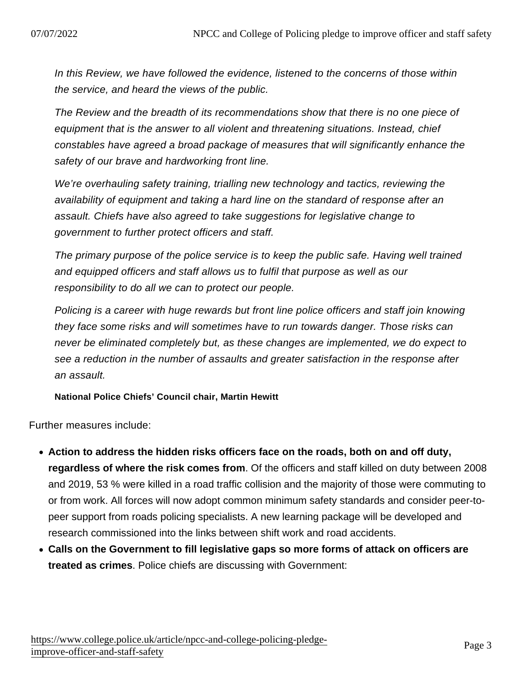In this Review, we have followed the evidence, listened to the concerns of those within the service, and heard the views of the public.

The Review and the breadth of its recommendations show that there is no one piece of equipment that is the answer to all violent and threatening situations. Instead, chief constables have agreed a broad package of measures that will significantly enhance the safety of our brave and hardworking front line.

We're overhauling safety training, trialling new technology and tactics, reviewing the availability of equipment and taking a hard line on the standard of response after an assault. Chiefs have also agreed to take suggestions for legislative change to government to further protect officers and staff.

The primary purpose of the police service is to keep the public safe. Having well trained and equipped officers and staff allows us to fulfil that purpose as well as our responsibility to do all we can to protect our people.

Policing is a career with huge rewards but front line police officers and staff join knowing they face some risks and will sometimes have to run towards danger. Those risks can never be eliminated completely but, as these changes are implemented, we do expect to see a reduction in the number of assaults and greater satisfaction in the response after an assault.

National Police Chiefs' Council chair, Martin Hewitt

Further measures include:

- Action to address the hidden risks officers face on the roads, both on and off duty, regardless of where the risk comes from . Of the officers and staff killed on duty between 2008 and 2019, 53 % were killed in a road traffic collision and the majority of those were commuting to or from work. All forces will now adopt common minimum safety standards and consider peer-topeer support from roads policing specialists. A new learning package will be developed and research commissioned into the links between shift work and road accidents.
- Calls on the Government to fill legislative gaps so more forms of attack on officers are treated as crimes . Police chiefs are discussing with Government: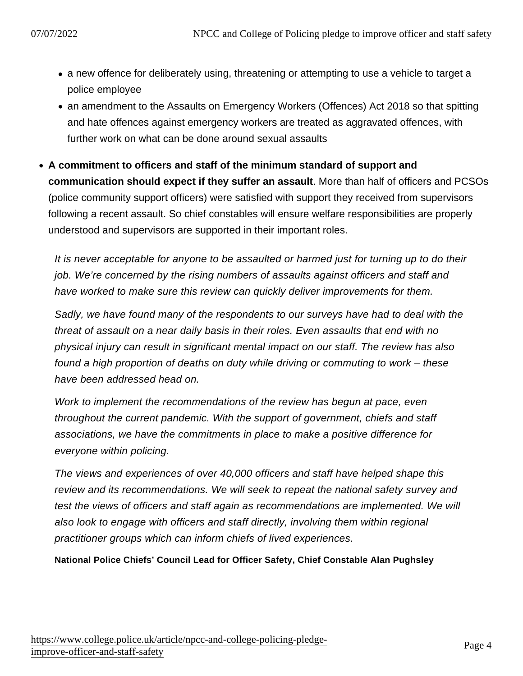- a new offence for deliberately using, threatening or attempting to use a vehicle to target a police employee
- an amendment to the Assaults on Emergency Workers (Offences) Act 2018 so that spitting and hate offences against emergency workers are treated as aggravated offences, with further work on what can be done around sexual assaults
- A commitment to officers and staff of the minimum standard of support and communication should expect if they suffer an assault . More than half of officers and PCSOs (police community support officers) were satisfied with support they received from supervisors following a recent assault. So chief constables will ensure welfare responsibilities are properly understood and supervisors are supported in their important roles.

It is never acceptable for anyone to be assaulted or harmed just for turning up to do their job. We're concerned by the rising numbers of assaults against officers and staff and have worked to make sure this review can quickly deliver improvements for them.

Sadly, we have found many of the respondents to our surveys have had to deal with the threat of assault on a near daily basis in their roles. Even assaults that end with no physical injury can result in significant mental impact on our staff. The review has also found a high proportion of deaths on duty while driving or commuting to work – these have been addressed head on.

Work to implement the recommendations of the review has begun at pace, even throughout the current pandemic. With the support of government, chiefs and staff associations, we have the commitments in place to make a positive difference for everyone within policing.

The views and experiences of over 40,000 officers and staff have helped shape this review and its recommendations. We will seek to repeat the national safety survey and test the views of officers and staff again as recommendations are implemented. We will also look to engage with officers and staff directly, involving them within regional practitioner groups which can inform chiefs of lived experiences.

National Police Chiefs' Council Lead for Officer Safety, Chief Constable Alan Pughsley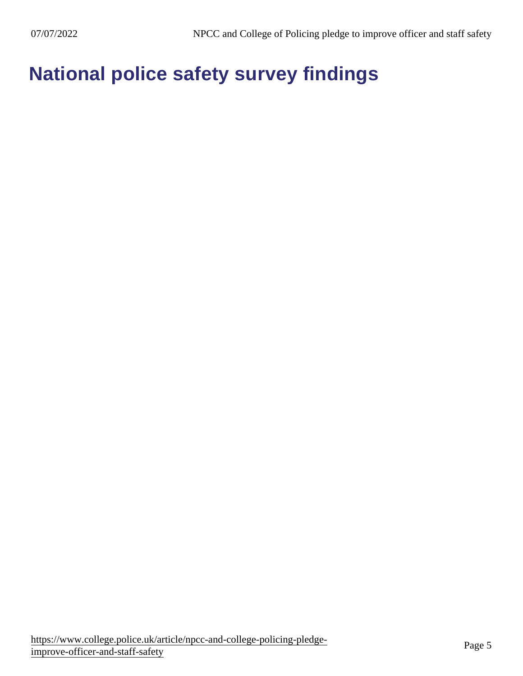National police safety survey findings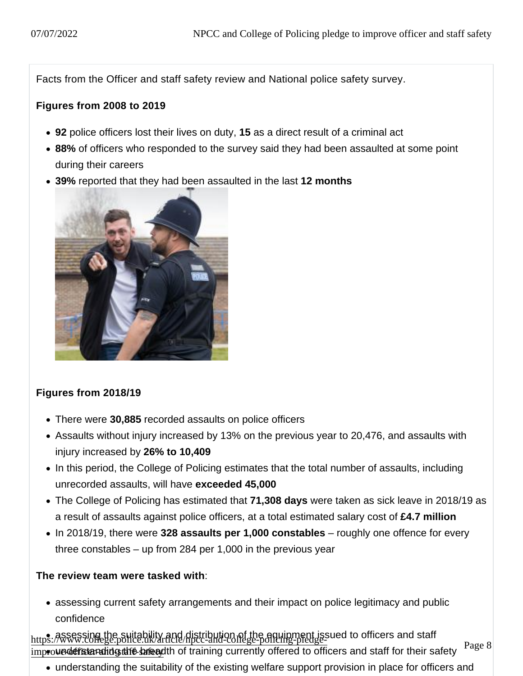Facts from the Officer and staff safety review and National police safety survey.

Figures from 2008 to 2019

- 92 police officers lost their lives on duty, 15 as a direct result of a criminal act
- 88% of officers who responded to the survey said they had been assaulted at some point during their careers
- 39% reported that they had been assaulted in the last 12 months

### Figures from 2018/19

- There were 30,885 recorded assaults on police officers
- Assaults without injury increased by 13% on the previous year to 20,476, and assaults with injury increased by 26% to 10,409
- In this period, the College of Policing estimates that the total number of assaults, including unrecorded assaults, will have exceeded 45,000
- The College of Policing has estimated that 71,308 days were taken as sick leave in 2018/19 as a result of assaults against police officers, at a total estimated salary cost of £4.7 million
- In 2018/19, there were 328 assaults per 1,000 constables roughly one offence for every three constables – up from 284 per 1,000 in the previous year

The review team were tasked with :

assessing current safety arrangements and their impact on police legitimacy and public confidence

https: Morto College.police.uk/and distribution of the equipment issued to officers and staff mproved of the breadth of training currently offered to officers and staff for their safety

understanding the suitability of the existing welfare support provision in place for officers and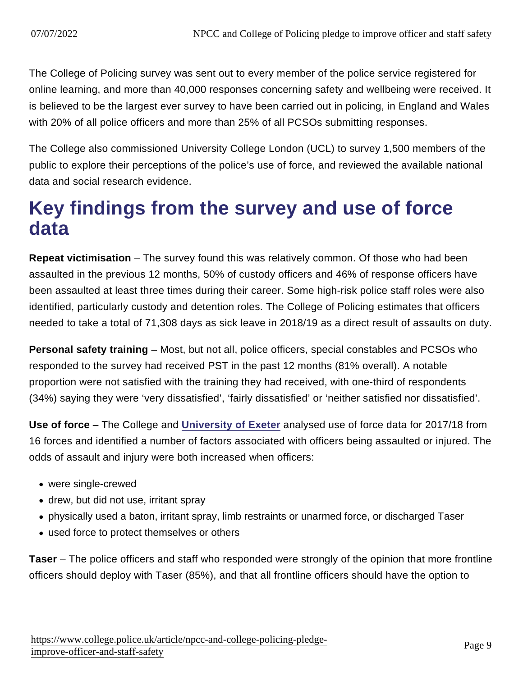The College of Policing survey was sent out to every member of the police service registered for online learning, and more than 40,000 responses concerning safety and wellbeing were received. It is believed to be the largest ever survey to have been carried out in policing, in England and Wales with 20% of all police officers and more than 25% of all PCSOs submitting responses.

The College also commissioned University College London (UCL) to survey 1,500 members of the public to explore their perceptions of the police's use of force, and reviewed the available national data and social research evidence.

### Key findings from the survey and use of force data

Repeat victimisation – The survey found this was relatively common. Of those who had been assaulted in the previous 12 months, 50% of custody officers and 46% of response officers have been assaulted at least three times during their career. Some high-risk police staff roles were also identified, particularly custody and detention roles. The College of Policing estimates that officers needed to take a total of 71,308 days as sick leave in 2018/19 as a direct result of assaults on duty.

Personal safety training – Most, but not all, police officers, special constables and PCSOs who responded to the survey had received PST in the past 12 months (81% overall). A notable proportion were not satisfied with the training they had received, with one-third of respondents (34%) saying they were 'very dissatisfied', 'fairly dissatisfied' or 'neither satisfied nor dissatisfied'.

Use of force – The College and [University of Exeter](https://www.exeter.ac.uk/news/research/title_812173_en.html) analysed use of force data for 2017/18 from 16 forces and identified a number of factors associated with officers being assaulted or injured. The odds of assault and injury were both increased when officers:

- were single-crewed
- drew, but did not use, irritant spray
- physically used a baton, irritant spray, limb restraints or unarmed force, or discharged Taser
- used force to protect themselves or others

Taser – The police officers and staff who responded were strongly of the opinion that more frontline officers should deploy with Taser (85%), and that all frontline officers should have the option to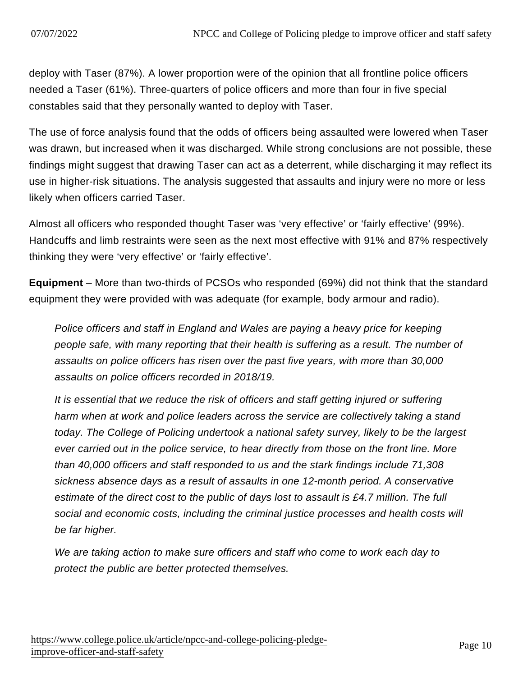deploy with Taser (87%). A lower proportion were of the opinion that all frontline police officers needed a Taser (61%). Three-quarters of police officers and more than four in five special constables said that they personally wanted to deploy with Taser.

The use of force analysis found that the odds of officers being assaulted were lowered when Taser was drawn, but increased when it was discharged. While strong conclusions are not possible, these findings might suggest that drawing Taser can act as a deterrent, while discharging it may reflect its use in higher-risk situations. The analysis suggested that assaults and injury were no more or less likely when officers carried Taser.

Almost all officers who responded thought Taser was 'very effective' or 'fairly effective' (99%). Handcuffs and limb restraints were seen as the next most effective with 91% and 87% respectively thinking they were 'very effective' or 'fairly effective'.

Equipment – More than two-thirds of PCSOs who responded (69%) did not think that the standard equipment they were provided with was adequate (for example, body armour and radio).

Police officers and staff in England and Wales are paying a heavy price for keeping people safe, with many reporting that their health is suffering as a result. The number of assaults on police officers has risen over the past five years, with more than 30,000 assaults on police officers recorded in 2018/19.

It is essential that we reduce the risk of officers and staff getting injured or suffering harm when at work and police leaders across the service are collectively taking a stand today. The College of Policing undertook a national safety survey, likely to be the largest ever carried out in the police service, to hear directly from those on the front line. More than 40,000 officers and staff responded to us and the stark findings include 71,308 sickness absence days as a result of assaults in one 12-month period. A conservative estimate of the direct cost to the public of days lost to assault is £4.7 million. The full social and economic costs, including the criminal justice processes and health costs will be far higher.

We are taking action to make sure officers and staff who come to work each day to protect the public are better protected themselves.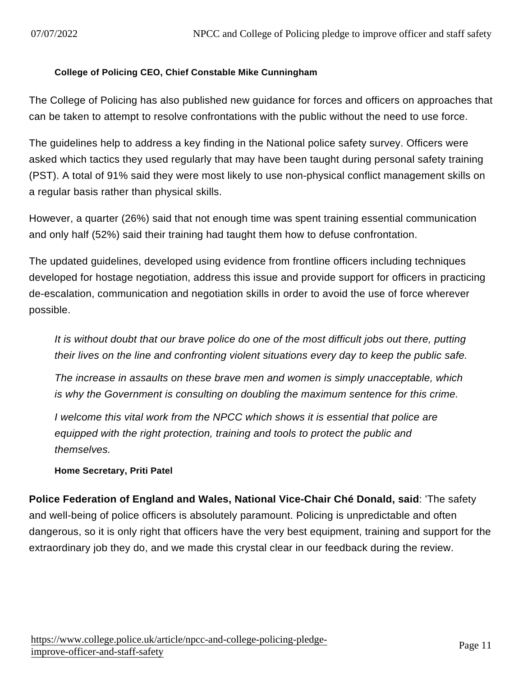#### College of Policing CEO, Chief Constable Mike Cunningham

The College of Policing has also published new guidance for forces and officers on approaches that can be taken to attempt to resolve confrontations with the public without the need to use force.

The guidelines help to address a key finding in the National police safety survey. Officers were asked which tactics they used regularly that may have been taught during personal safety training (PST). A total of 91% said they were most likely to use non-physical conflict management skills on a regular basis rather than physical skills.

However, a quarter (26%) said that not enough time was spent training essential communication and only half (52%) said their training had taught them how to defuse confrontation.

The updated guidelines, developed using evidence from frontline officers including techniques developed for hostage negotiation, address this issue and provide support for officers in practicing de-escalation, communication and negotiation skills in order to avoid the use of force wherever possible.

It is without doubt that our brave police do one of the most difficult jobs out there, putting their lives on the line and confronting violent situations every day to keep the public safe.

The increase in assaults on these brave men and women is simply unacceptable, which is why the Government is consulting on doubling the maximum sentence for this crime.

I welcome this vital work from the NPCC which shows it is essential that police are equipped with the right protection, training and tools to protect the public and themselves.

Home Secretary, Priti Patel

Police Federation of England and Wales, National Vice-Chair Ché Donald, said : 'The safety and well-being of police officers is absolutely paramount. Policing is unpredictable and often dangerous, so it is only right that officers have the very best equipment, training and support for the extraordinary job they do, and we made this crystal clear in our feedback during the review.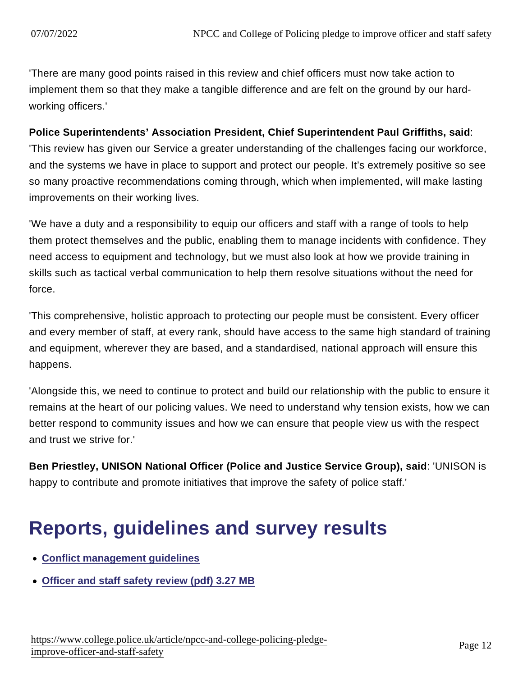'There are many good points raised in this review and chief officers must now take action to implement them so that they make a tangible difference and are felt on the ground by our hardworking officers.'

Police Superintendents' Association President, Chief Superintendent Paul Griffiths, said : 'This review has given our Service a greater understanding of the challenges facing our workforce, and the systems we have in place to support and protect our people. It's extremely positive so see so many proactive recommendations coming through, which when implemented, will make lasting improvements on their working lives.

'We have a duty and a responsibility to equip our officers and staff with a range of tools to help them protect themselves and the public, enabling them to manage incidents with confidence. They need access to equipment and technology, but we must also look at how we provide training in skills such as tactical verbal communication to help them resolve situations without the need for force.

'This comprehensive, holistic approach to protecting our people must be consistent. Every officer and every member of staff, at every rank, should have access to the same high standard of training and equipment, wherever they are based, and a standardised, national approach will ensure this happens.

'Alongside this, we need to continue to protect and build our relationship with the public to ensure it remains at the heart of our policing values. We need to understand why tension exists, how we can better respond to community issues and how we can ensure that people view us with the respect and trust we strive for.'

Ben Priestley, UNISON National Officer (Police and Justice Service Group), said : 'UNISON is happy to contribute and promote initiatives that improve the safety of police staff.'

# Reports, guidelines and survey results

- [Conflict management guidelines](https://www.college.police.uk/guidance/conflict-management)
- [Officer and staff safety review \(pdf\) 3.27 MB](https://assets.college.police.uk/s3fs-public/2020-09/CoP-NPCC-Officer-Staff-Safety-Review.pdf)